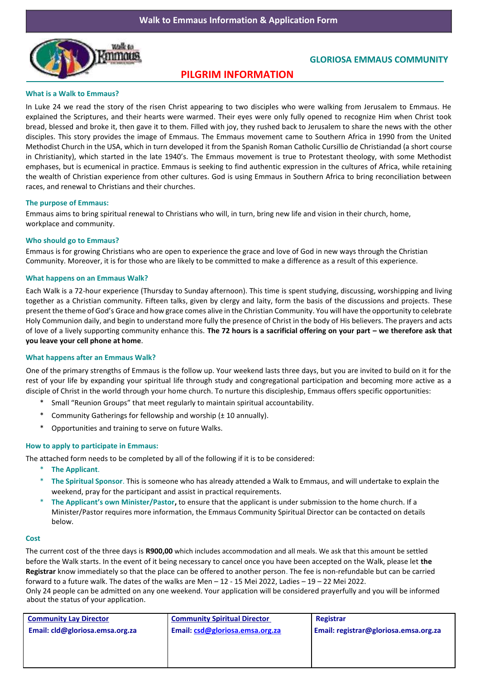

# **GLORIOSA EMMAUS COMMUNITY**

# **PILGRIM INFORMATION**

## **What is a Walk to Emmaus?**

In Luke 24 we read the story of the risen Christ appearing to two disciples who were walking from Jerusalem to Emmaus. He explained the Scriptures, and their hearts were warmed. Their eyes were only fully opened to recognize Him when Christ took bread, blessed and broke it, then gave it to them. Filled with joy, they rushed back to Jerusalem to share the news with the other disciples. This story provides the image of Emmaus. The Emmaus movement came to Southern Africa in 1990 from the United Methodist Church in the USA, which in turn developed it from the Spanish Roman Catholic Cursillio de Christiandad (a short course in Christianity), which started in the late 1940's. The Emmaus movement is true to Protestant theology, with some Methodist emphases, but is ecumenical in practice. Emmaus is seeking to find authentic expression in the cultures of Africa, while retaining the wealth of Christian experience from other cultures. God is using Emmaus in Southern Africa to bring reconciliation between races, and renewal to Christians and their churches.

## **The purpose of Emmaus:**

Emmaus aims to bring spiritual renewal to Christians who will, in turn, bring new life and vision in their church, home, workplace and community.

## **Who should go to Emmaus?**

Emmaus is for growing Christians who are open to experience the grace and love of God in new ways through the Christian Community. Moreover, it is for those who are likely to be committed to make a difference as a result of this experience.

#### **What happens on an Emmaus Walk?**

Each Walk is a 72-hour experience (Thursday to Sunday afternoon). This time is spent studying, discussing, worshipping and living together as a Christian community. Fifteen talks, given by clergy and laity, form the basis of the discussions and projects. These present the theme of God's Grace and how grace comes alive in the Christian Community. You will have the opportunity to celebrate Holy Communion daily, and begin to understand more fully the presence of Christ in the body of His believers. The prayers and acts of love of a lively supporting community enhance this. **The 72 hours is a sacrificial offering on your part – we therefore ask that you leave your cell phone at home**.

## **What happens after an Emmaus Walk?**

One of the primary strengths of Emmaus is the follow up. Your weekend lasts three days, but you are invited to build on it for the rest of your life by expanding your spiritual life through study and congregational participation and becoming more active as a disciple of Christ in the world through your home church. To nurture this discipleship, Emmaus offers specific opportunities:

- \* Small "Reunion Groups" that meet regularly to maintain spiritual accountability.
- Community Gatherings for fellowship and worship ( $±$  10 annually).
- Opportunities and training to serve on future Walks.

## **How to apply to participate in Emmaus:**

The attached form needs to be completed by all of the following if it is to be considered:

- \* **The Applicant**.
- \* **The Spiritual Sponsor**. This is someone who has already attended a Walk to Emmaus, and will undertake to explain the weekend, pray for the participant and assist in practical requirements.
- \* **The Applicant's own Minister/Pastor,** to ensure that the applicant is under submission to the home church. If a Minister/Pastor requires more information, the Emmaus Community Spiritual Director can be contacted on details below.

#### **Cost**

The current cost of the three days is **R900,00** which includes accommodation and all meals. We ask that this amount be settled before the Walk starts. In the event of it being necessary to cancel once you have been accepted on the Walk, please let **the Registrar** know immediately so that the place can be offered to another person. The fee is non-refundable but can be carried forward to a future walk. The dates of the walks are Men – 12 - 15 Mei 2022, Ladies – 19 – 22 Mei 2022. Only 24 people can be admitted on any one weekend. Your application will be considered prayerfully and you will be informed about the status of your application.

| <b>Community Lay Director</b>   | <b>Community Spiritual Director</b> | Registrar                             |  |  |
|---------------------------------|-------------------------------------|---------------------------------------|--|--|
| Email: cld@gloriosa.emsa.org.za | Email: csd@gloriosa.emsa.org.za     | Email: registrar@gloriosa.emsa.org.za |  |  |
|                                 |                                     |                                       |  |  |
|                                 |                                     |                                       |  |  |